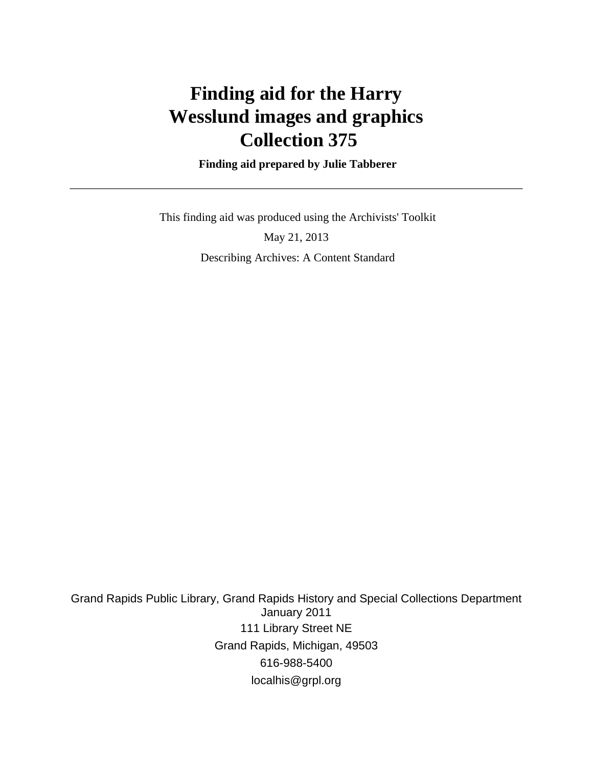# **Finding aid for the Harry Wesslund images and graphics Collection 375**

 **Finding aid prepared by Julie Tabberer**

This finding aid was produced using the Archivists' Toolkit

May 21, 2013 Describing Archives: A Content Standard

Grand Rapids Public Library, Grand Rapids History and Special Collections Department January 2011 111 Library Street NE Grand Rapids, Michigan, 49503 616-988-5400 localhis@grpl.org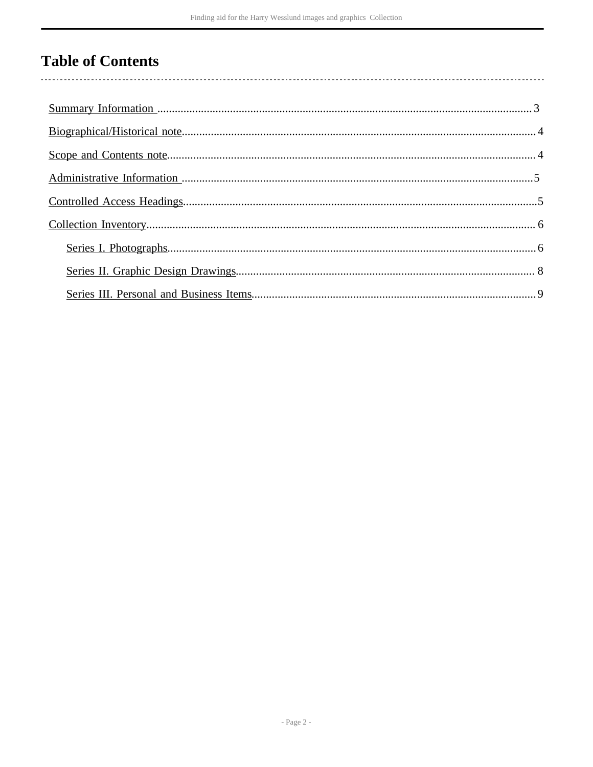# **Table of Contents**

 $\overline{\phantom{a}}$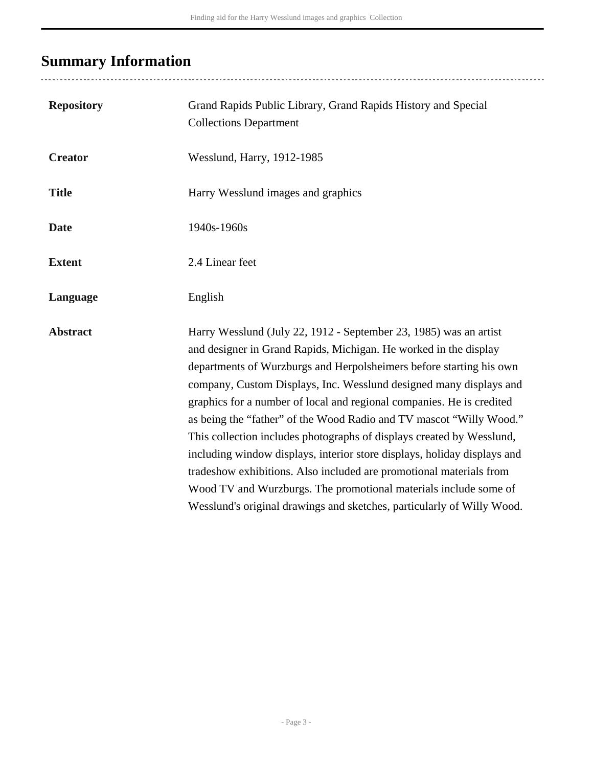# <span id="page-2-0"></span>**Summary Information**

..................................

| <b>Repository</b> | Grand Rapids Public Library, Grand Rapids History and Special<br><b>Collections Department</b>                                                                                                                                                                                                                                                                                                                                                                                                                                                                                                                                                                                                                                                                                                               |
|-------------------|--------------------------------------------------------------------------------------------------------------------------------------------------------------------------------------------------------------------------------------------------------------------------------------------------------------------------------------------------------------------------------------------------------------------------------------------------------------------------------------------------------------------------------------------------------------------------------------------------------------------------------------------------------------------------------------------------------------------------------------------------------------------------------------------------------------|
| <b>Creator</b>    | Wesslund, Harry, 1912-1985                                                                                                                                                                                                                                                                                                                                                                                                                                                                                                                                                                                                                                                                                                                                                                                   |
| <b>Title</b>      | Harry Wesslund images and graphics                                                                                                                                                                                                                                                                                                                                                                                                                                                                                                                                                                                                                                                                                                                                                                           |
| <b>Date</b>       | 1940s-1960s                                                                                                                                                                                                                                                                                                                                                                                                                                                                                                                                                                                                                                                                                                                                                                                                  |
| <b>Extent</b>     | 2.4 Linear feet                                                                                                                                                                                                                                                                                                                                                                                                                                                                                                                                                                                                                                                                                                                                                                                              |
| Language          | English                                                                                                                                                                                                                                                                                                                                                                                                                                                                                                                                                                                                                                                                                                                                                                                                      |
| <b>Abstract</b>   | Harry Wesslund (July 22, 1912 - September 23, 1985) was an artist<br>and designer in Grand Rapids, Michigan. He worked in the display<br>departments of Wurzburgs and Herpolsheimers before starting his own<br>company, Custom Displays, Inc. Wesslund designed many displays and<br>graphics for a number of local and regional companies. He is credited<br>as being the "father" of the Wood Radio and TV mascot "Willy Wood."<br>This collection includes photographs of displays created by Wesslund,<br>including window displays, interior store displays, holiday displays and<br>tradeshow exhibitions. Also included are promotional materials from<br>Wood TV and Wurzburgs. The promotional materials include some of<br>Wesslund's original drawings and sketches, particularly of Willy Wood. |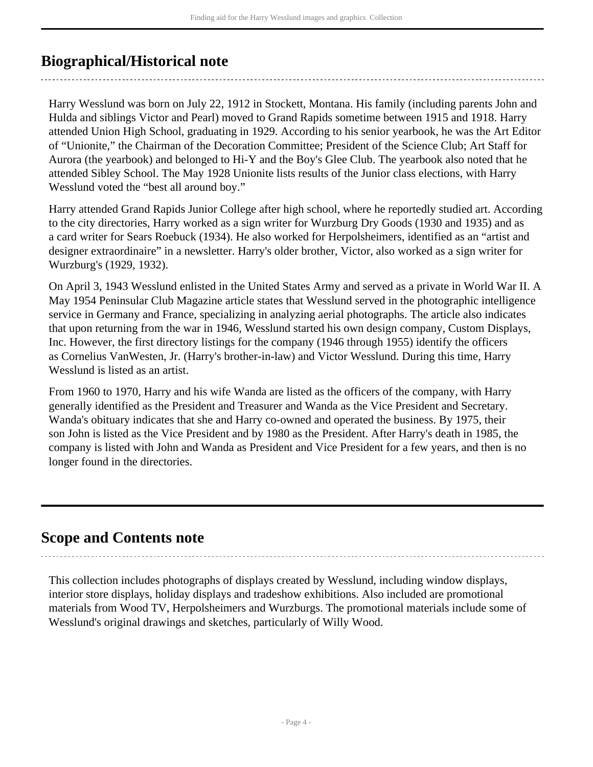## <span id="page-3-0"></span>**Biographical/Historical note**

Harry Wesslund was born on July 22, 1912 in Stockett, Montana. His family (including parents John and Hulda and siblings Victor and Pearl) moved to Grand Rapids sometime between 1915 and 1918. Harry attended Union High School, graduating in 1929. According to his senior yearbook, he was the Art Editor of "Unionite," the Chairman of the Decoration Committee; President of the Science Club; Art Staff for Aurora (the yearbook) and belonged to Hi-Y and the Boy's Glee Club. The yearbook also noted that he attended Sibley School. The May 1928 Unionite lists results of the Junior class elections, with Harry Wesslund voted the "best all around boy."

Harry attended Grand Rapids Junior College after high school, where he reportedly studied art. According to the city directories, Harry worked as a sign writer for Wurzburg Dry Goods (1930 and 1935) and as a card writer for Sears Roebuck (1934). He also worked for Herpolsheimers, identified as an "artist and designer extraordinaire" in a newsletter. Harry's older brother, Victor, also worked as a sign writer for Wurzburg's (1929, 1932).

On April 3, 1943 Wesslund enlisted in the United States Army and served as a private in World War II. A May 1954 Peninsular Club Magazine article states that Wesslund served in the photographic intelligence service in Germany and France, specializing in analyzing aerial photographs. The article also indicates that upon returning from the war in 1946, Wesslund started his own design company, Custom Displays, Inc. However, the first directory listings for the company (1946 through 1955) identify the officers as Cornelius VanWesten, Jr. (Harry's brother-in-law) and Victor Wesslund. During this time, Harry Wesslund is listed as an artist.

From 1960 to 1970, Harry and his wife Wanda are listed as the officers of the company, with Harry generally identified as the President and Treasurer and Wanda as the Vice President and Secretary. Wanda's obituary indicates that she and Harry co-owned and operated the business. By 1975, their son John is listed as the Vice President and by 1980 as the President. After Harry's death in 1985, the company is listed with John and Wanda as President and Vice President for a few years, and then is no longer found in the directories.

## <span id="page-3-1"></span>**Scope and Contents note**

This collection includes photographs of displays created by Wesslund, including window displays, interior store displays, holiday displays and tradeshow exhibitions. Also included are promotional materials from Wood TV, Herpolsheimers and Wurzburgs. The promotional materials include some of Wesslund's original drawings and sketches, particularly of Willy Wood.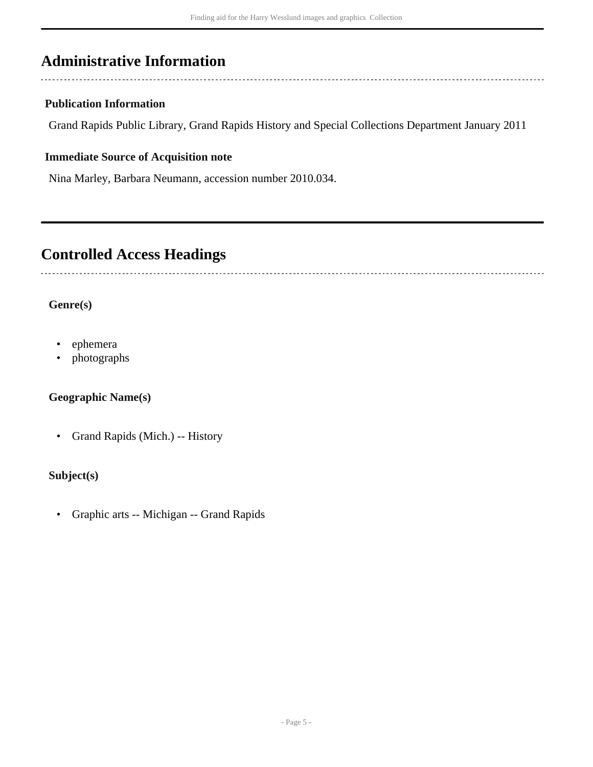## <span id="page-4-0"></span>**Administrative Information**

### **Publication Information**

Grand Rapids Public Library, Grand Rapids History and Special Collections Department January 2011

### **Immediate Source of Acquisition note**

Nina Marley, Barbara Neumann, accession number 2010.034.

### <span id="page-4-1"></span>**Controlled Access Headings**

### **Genre(s)**

- ephemera
- photographs

### **Geographic Name(s)**

• Grand Rapids (Mich.) -- History

### **Subject(s)**

• Graphic arts -- Michigan -- Grand Rapids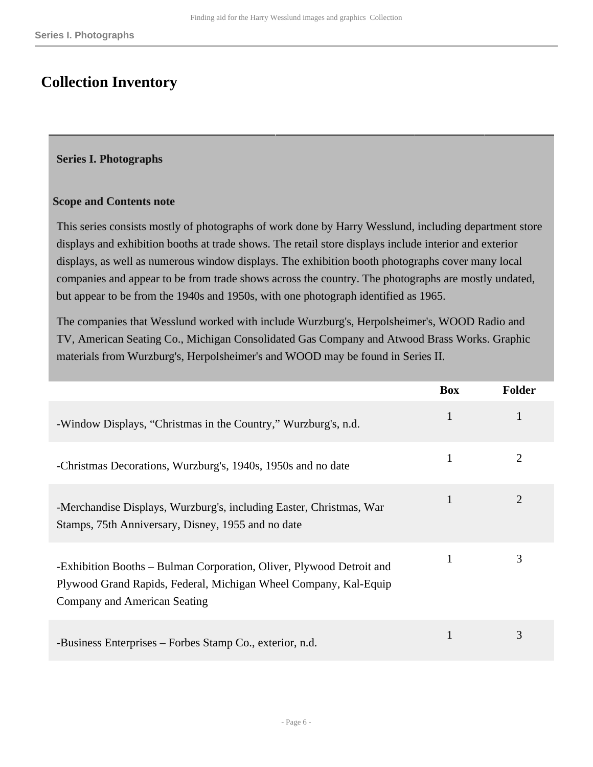## <span id="page-5-0"></span>**Collection Inventory**

#### <span id="page-5-1"></span>**Series I. Photographs**

#### **Scope and Contents note**

This series consists mostly of photographs of work done by Harry Wesslund, including department store displays and exhibition booths at trade shows. The retail store displays include interior and exterior displays, as well as numerous window displays. The exhibition booth photographs cover many local companies and appear to be from trade shows across the country. The photographs are mostly undated, but appear to be from the 1940s and 1950s, with one photograph identified as 1965.

The companies that Wesslund worked with include Wurzburg's, Herpolsheimer's, WOOD Radio and TV, American Seating Co., Michigan Consolidated Gas Company and Atwood Brass Works. Graphic materials from Wurzburg's, Herpolsheimer's and WOOD may be found in Series II.

|                                                                                                                                                                          | <b>Box</b>   | <b>Folder</b> |
|--------------------------------------------------------------------------------------------------------------------------------------------------------------------------|--------------|---------------|
| -Window Displays, "Christmas in the Country," Wurzburg's, n.d.                                                                                                           | $\mathbf{1}$ |               |
| -Christmas Decorations, Wurzburg's, 1940s, 1950s and no date                                                                                                             | 1            |               |
| -Merchandise Displays, Wurzburg's, including Easter, Christmas, War<br>Stamps, 75th Anniversary, Disney, 1955 and no date                                                | 1            | 2             |
| -Exhibition Booths – Bulman Corporation, Oliver, Plywood Detroit and<br>Plywood Grand Rapids, Federal, Michigan Wheel Company, Kal-Equip<br>Company and American Seating | 1            | 3             |
| -Business Enterprises – Forbes Stamp Co., exterior, n.d.                                                                                                                 | 1            | 3             |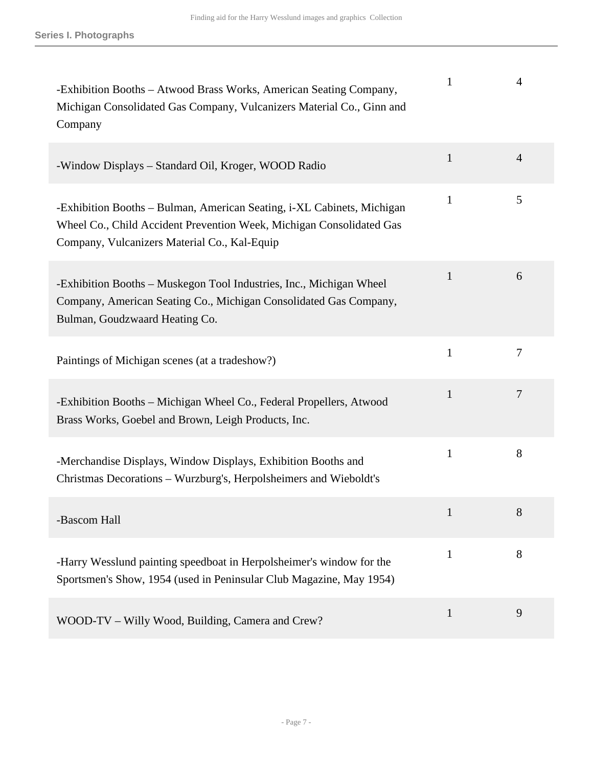| -Exhibition Booths – Atwood Brass Works, American Seating Company,<br>Michigan Consolidated Gas Company, Vulcanizers Material Co., Ginn and<br>Company                                         | 1            | 4              |
|------------------------------------------------------------------------------------------------------------------------------------------------------------------------------------------------|--------------|----------------|
| -Window Displays - Standard Oil, Kroger, WOOD Radio                                                                                                                                            | $\mathbf{1}$ | $\overline{4}$ |
| -Exhibition Booths – Bulman, American Seating, i-XL Cabinets, Michigan<br>Wheel Co., Child Accident Prevention Week, Michigan Consolidated Gas<br>Company, Vulcanizers Material Co., Kal-Equip | 1            | 5              |
| -Exhibition Booths – Muskegon Tool Industries, Inc., Michigan Wheel<br>Company, American Seating Co., Michigan Consolidated Gas Company,<br>Bulman, Goudzwaard Heating Co.                     | 1            | 6              |
| Paintings of Michigan scenes (at a tradeshow?)                                                                                                                                                 | $\mathbf{1}$ | 7              |
| -Exhibition Booths – Michigan Wheel Co., Federal Propellers, Atwood<br>Brass Works, Goebel and Brown, Leigh Products, Inc.                                                                     | 1            | $\overline{7}$ |
| -Merchandise Displays, Window Displays, Exhibition Booths and<br>Christmas Decorations - Wurzburg's, Herpolsheimers and Wieboldt's                                                             | 1            | 8              |
| -Bascom Hall                                                                                                                                                                                   | $\mathbf{1}$ | 8              |
| -Harry Wesslund painting speedboat in Herpolsheimer's window for the<br>Sportsmen's Show, 1954 (used in Peninsular Club Magazine, May 1954)                                                    | 1            | 8              |
| WOOD-TV - Willy Wood, Building, Camera and Crew?                                                                                                                                               | $\mathbf{1}$ | 9              |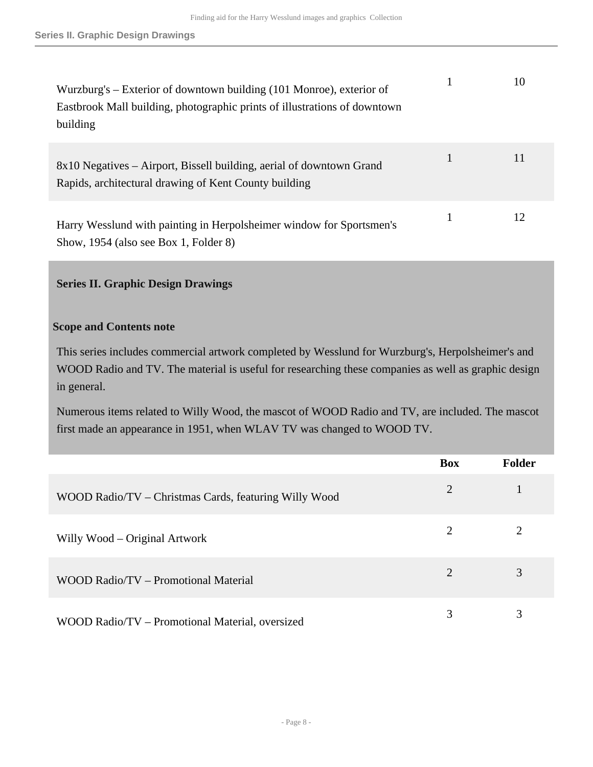| Wurzburg's – Exterior of downtown building (101 Monroe), exterior of<br>Eastbrook Mall building, photographic prints of illustrations of downtown<br>building |   | 10 |
|---------------------------------------------------------------------------------------------------------------------------------------------------------------|---|----|
| 8x10 Negatives – Airport, Bissell building, aerial of downtown Grand<br>Rapids, architectural drawing of Kent County building                                 | 1 | 11 |
| Harry Wesslund with painting in Herpolsheimer window for Sportsmen's<br>Show, 1954 (also see Box 1, Folder 8)                                                 |   | 12 |

#### <span id="page-7-0"></span>**Series II. Graphic Design Drawings**

#### **Scope and Contents note**

This series includes commercial artwork completed by Wesslund for Wurzburg's, Herpolsheimer's and WOOD Radio and TV. The material is useful for researching these companies as well as graphic design in general.

Numerous items related to Willy Wood, the mascot of WOOD Radio and TV, are included. The mascot first made an appearance in 1951, when WLAV TV was changed to WOOD TV.

|                                                       | <b>Box</b> | <b>Folder</b> |
|-------------------------------------------------------|------------|---------------|
| WOOD Radio/TV - Christmas Cards, featuring Willy Wood | 2          |               |
| Willy Wood – Original Artwork                         | 2          |               |
| WOOD Radio/TV – Promotional Material                  | 2          | 3             |
| WOOD Radio/TV – Promotional Material, oversized       | 3          | 3             |